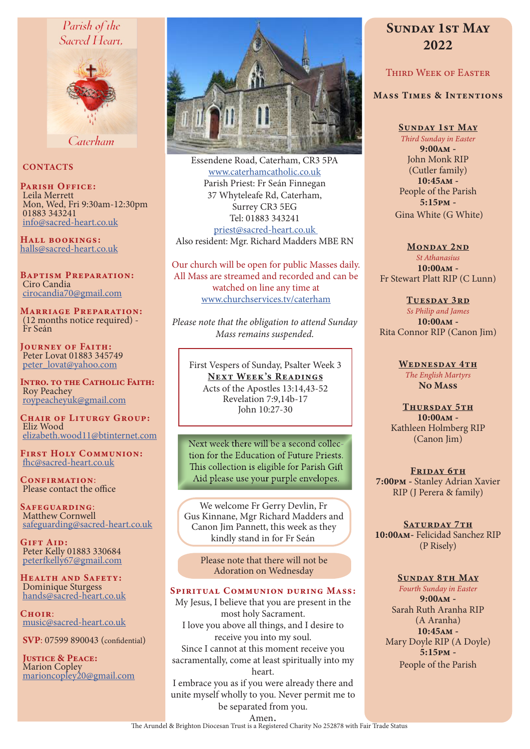## Parish of the Sacred Heart.



Caterham

## **CONTACTS**

PARISH OFFICE: Leila Merrett Mon, Wed, Fri 9:30am-12:30pm 01883 343241 info@sacred-heart.co.uk

Hall bookings: halls@sacred-heart.co.uk

Baptism Preparation: Ciro Candia cirocandia70@gmail.com

Marriage Preparation: (12 months notice required) - Fr Seán

Journey of Faith: Peter Lovat 01883 345749 peter\_lovat@yahoo.com

Intro. to the Catholic Faith: Roy Peachey roypeacheyuk@gmail.com

CHAIR OF LITURGY GROUP: Eliz Wood elizabeth.wood11@btinternet.com

First Holy Communion: fhc@sacred-heart.co.uk

CONFIRMATION: Please contact the office

Safeguarding: Matthew Cornwell safeguarding@sacred-heart.co.uk

GIFT AID: Peter Kelly 01883 330684 peterfkelly67@gmail.com

HEALTH AND SAFETY: Dominique Sturgess hands@sacred-heart.co.uk

CHOIR: music@sacred-heart.co.uk

SVP: 07599 890043 (confidential)

Justice & Peace: Marion Copley marioncopley20@gmail.com



Essendene Road, Caterham, CR3 5PA www.caterhamcatholic.co.uk Parish Priest: Fr Seán Finnegan 37 Whyteleafe Rd, Caterham, Surrey CR3 5EG Tel: 01883 343241 priest@sacred-heart.co.uk Also resident: Mgr. Richard Madders MBE RN

Our church will be open for public Masses daily. All Mass are streamed and recorded and can be watched on line any time at www.churchservices.tv/caterham

*Please note that the obligation to attend Sunday Mass remains suspended.*

First Vespers of Sunday, Psalter Week 3 NEXT WEEK'S READINGS Acts of the Apostles 13:14,43-52 Revelation 7:9,14b-17 John 10:27-30

Next week there will be a second collection for the Education of Future Priests. This collection is eligible for Parish Gift Aid please use your purple envelopes.

We welcome Fr Gerry Devlin, Fr Gus Kinnane, Mgr Richard Madders and Canon Jim Pannett, this week as they kindly stand in for Fr Seán

> Please note that there will not be Adoration on Wednesday

## Spiritual Communion during Mass:

My Jesus, I believe that you are present in the most holy Sacrament. I love you above all things, and I desire to receive you into my soul. Since I cannot at this moment receive you sacramentally, come at least spiritually into my heart.

I embrace you as if you were already there and unite myself wholly to you. Never permit me to be separated from you.

# Sunday 1st May 2022

## Third Week of Easter

#### Mass Times & Intentions

Sunday 1st May *Third Sunday in Easter* 9:00am - John Monk RIP (Cutler family) 10:45am - People of the Parish 5:15pm - Gina White (G White)

#### MONDAY 2ND

*St Athanasius* 10:00am - Fr Stewart Platt RIP (C Lunn)

TUESDAY 3RD *Ss Philip and James* 10:00am - Rita Connor RIP (Canon Jim)

> WEDNESDAY 4TH *The English Martyrs* No Mass

Thursday 5th  $10:00AM -$ Kathleen Holmberg RIP (Canon Jim)

FRIDAY 6TH 7:00pm - Stanley Adrian Xavier RIP (J Perera & family)

SATURDAY 7TH 10:00am- Felicidad Sanchez RIP (P Risely)

#### Sunday 8th May

*Fourth Sunday in Easter* 9:00am - Sarah Ruth Aranha RIP (A Aranha) 10:45am - Mary Doyle RIP (A Doyle) 5:15pm - People of the Parish